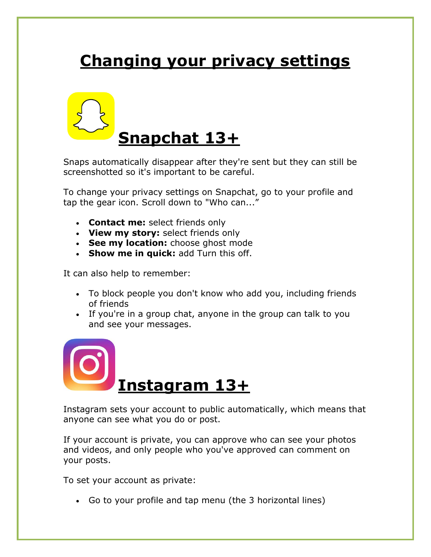# **Changing your privacy settings**



Snaps automatically disappear after they're sent but they can still be screenshotted so it's important to be careful.

To change your privacy settings on Snapchat, go to your profile and tap the gear icon. Scroll down to "Who can..."

- **Contact me:** select friends only
- **View my story:** select friends only
- **See my location:** choose ghost mode
- **Show me in quick:** add Turn this off.

It can also help to remember:

- To block people you don't know who add you, including friends of friends
- If you're in a group chat, anyone in the group can talk to you and see your messages.



Instagram sets your account to public automatically, which means that anyone can see what you do or post.

If your account is private, you can approve who can see your photos and videos, and only people who you've approved can comment on your posts.

To set your account as private:

Go to your profile and tap menu (the 3 horizontal lines)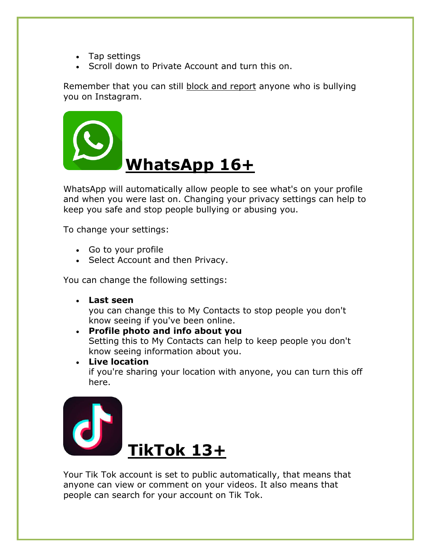- Tap settings
- Scroll down to Private Account and turn this on.

Remember that you can still [block and report](https://www.childline.org.uk/info-advice/bullying-abuse-safety/types-bullying/bullying-social-networks/#Blockingandreporting) anyone who is bullying you on Instagram.



WhatsApp will automatically allow people to see what's on your profile and when you were last on. Changing your privacy settings can help to keep you safe and stop people bullying or abusing you.

To change your settings:

- Go to your profile
- Select Account and then Privacy.

You can change the following settings:

**Last seen**

you can change this to My Contacts to stop people you don't know seeing if you've been online.

 **Profile photo and info about you** Setting this to My Contacts can help to keep people you don't know seeing information about you.

 **Live location** if you're sharing your location with anyone, you can turn this off here.



Your Tik Tok account is set to public automatically, that means that anyone can view or comment on your videos. It also means that people can search for your account on Tik Tok.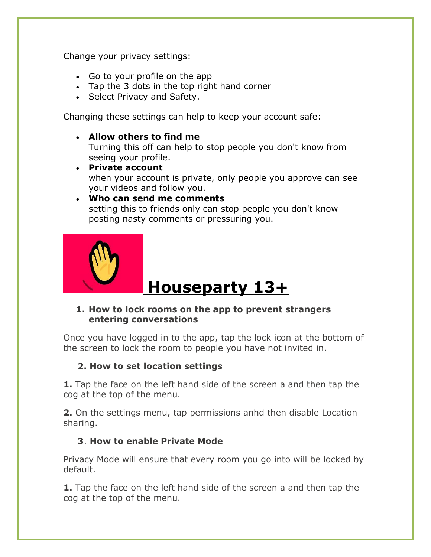Change your privacy settings:

- Go to your profile on the app
- Tap the 3 dots in the top right hand corner
- Select Privacy and Safety.

Changing these settings can help to keep your account safe:

**Allow others to find me**

Turning this off can help to stop people you don't know from seeing your profile.

 **Private account** when your account is private, only people you approve can see your videos and follow you.

#### **Who can send me comments** setting this to friends only can stop people you don't know posting nasty comments or pressuring you.



# **Houseparty 13+**

## **1. How to lock rooms on the app to prevent strangers entering conversations**

Once you have logged in to the app, tap the lock icon at the bottom of the screen to lock the room to people you have not invited in.

# **2. How to set location settings**

**1.** Tap the face on the left hand side of the screen a and then tap the cog at the top of the menu.

**2.** On the settings menu, tap permissions anhd then disable Location sharing.

# **3**. **How to enable Private Mode**

Privacy Mode will ensure that every room you go into will be locked by default.

**1.** Tap the face on the left hand side of the screen a and then tap the cog at the top of the menu.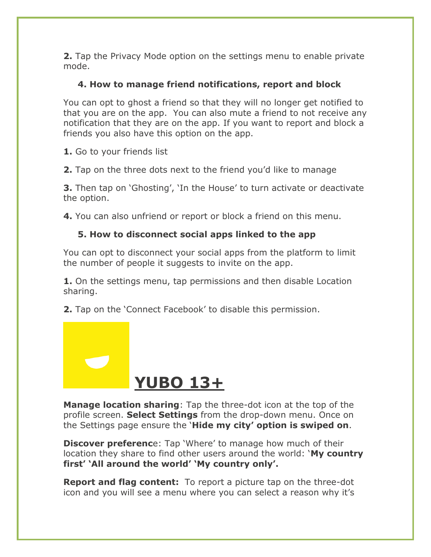**2.** Tap the Privacy Mode option on the settings menu to enable private mode.

# **4. How to manage friend notifications, report and block**

You can opt to ghost a friend so that they will no longer get notified to that you are on the app. You can also mute a friend to not receive any notification that they are on the app. If you want to report and block a friends you also have this option on the app.

**1.** Go to your friends list

**2.** Tap on the three dots next to the friend you'd like to manage

**3.** Then tap on 'Ghosting', 'In the House' to turn activate or deactivate the option.

**4.** You can also unfriend or report or block a friend on this menu.

# **5. How to disconnect social apps linked to the app**

You can opt to disconnect your social apps from the platform to limit the number of people it suggests to invite on the app.

**1.** On the settings menu, tap permissions and then disable Location sharing.

**2.** Tap on the 'Connect Facebook' to disable this permission.



**Manage location sharing**: Tap the three-dot icon at the top of the profile screen. **Select Settings** from the drop-down menu. Once on the Settings page ensure the '**Hide my city' option is swiped on**.

**Discover preferenc**e: Tap 'Where' to manage how much of their location they share to find other users around the world: '**My country first' 'All around the world' 'My country only'.**

**Report and flag content:** To report a picture tap on the three-dot icon and you will see a menu where you can select a reason why it's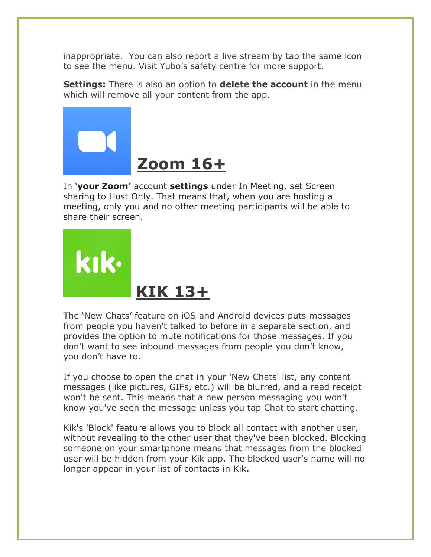inappropriate. You can also report a live stream by tap the same icon to see the menu. Visit Yubo's safety centre for more support.

**Settings:** There is also an option to **delete the account** in the menu which will remove all your content from the app.



In '**your Zoom'** account **settings** under In Meeting, set Screen sharing to Host Only. That means that, when you are hosting a meeting, only you and no other meeting participants will be able to share their screen.



The 'New Chats' feature on iOS and Android devices puts messages from people you haven't talked to before in a separate section, and provides the option to mute notifications for those messages. If you don't want to see inbound messages from people you don't know, you don't have to.

If you choose to open the chat in your 'New Chats' list, any content messages (like pictures, GIFs, etc.) will be blurred, and a read receipt won't be sent. This means that a new person messaging you won't know you've seen the message unless you tap Chat to start chatting.

Kik's 'Block' feature allows you to block all contact with another user, without revealing to the other user that they've been blocked. Blocking someone on your smartphone means that messages from the blocked user will be hidden from your Kik app. The blocked user's name will no longer appear in your list of contacts in Kik.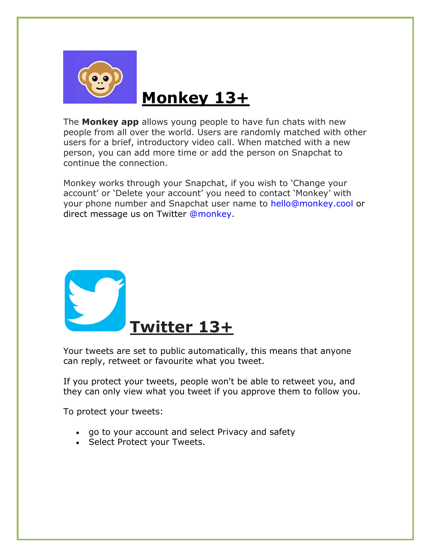

# **Monkey 13+**

The **Monkey app** allows young people to have fun chats with new people from all over the world. Users are randomly matched with other users for a brief, introductory video call. When matched with a new person, you can add more time or add the person on Snapchat to continue the connection.

Monkey works through your Snapchat, if you wish to 'Change your account' or 'Delete your account' you need to contact 'Monkey' with your phone number and Snapchat user name to [hello@monkey.cool](mailto:hello@monkey.cool) or direct message us on Twitter [@monkey.](http://twitter.com/monkey)



Your tweets are set to public automatically, this means that anyone can reply, retweet or favourite what you tweet.

If you protect your tweets, people won't be able to retweet you, and they can only view what you tweet if you approve them to follow you.

To protect your tweets:

- go to your account and select Privacy and safety
- Select Protect your Tweets.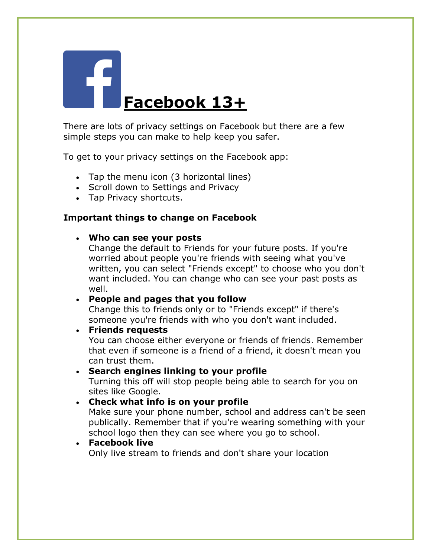

There are lots of privacy settings on Facebook but there are a few simple steps you can make to help keep you safer.

To get to your privacy settings on the Facebook app:

- Tap the menu icon (3 horizontal lines)
- Scroll down to Settings and Privacy
- Tap Privacy shortcuts.

## **Important things to change on Facebook**

### **Who can see your posts**

Change the default to Friends for your future posts. If you're worried about people you're friends with seeing what you've written, you can select "Friends except" to choose who you don't want included. You can change who can see your past posts as well.

## **People and pages that you follow**

Change this to friends only or to "Friends except" if there's someone you're friends with who you don't want included.

### **Friends requests**

You can choose either everyone or friends of friends. Remember that even if someone is a friend of a friend, it doesn't mean you can trust them.

### **Search engines linking to your profile**

Turning this off will stop people being able to search for you on sites like Google.

### **Check what info is on your profile**

Make sure your phone number, school and address can't be seen publically. Remember that if you're wearing something with your school logo then they can see where you go to school.

## **Facebook live**

Only live stream to friends and don't share your location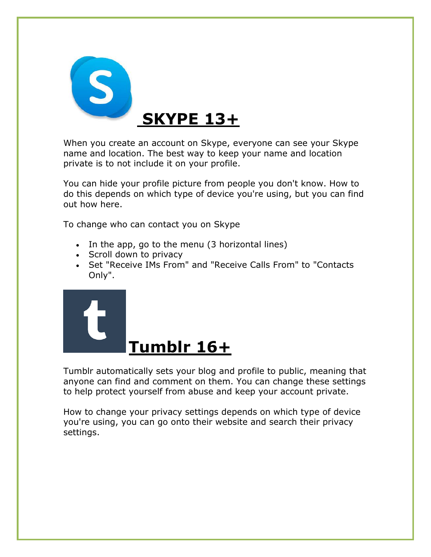

When you create an account on Skype, everyone can see your Skype name and location. The best way to keep your name and location private is to not include it on your profile.

You can hide your profile picture from people you don't know. How to do this depends on which type of device you're using, but you can find out how here.

To change who can contact you on Skype

- In the app, go to the menu (3 horizontal lines)
- Scroll down to privacy
- Set "Receive IMs From" and "Receive Calls From" to "Contacts Only".



Tumblr automatically sets your blog and profile to public, meaning that anyone can find and comment on them. You can change these settings to help protect yourself from abuse and keep your account private.

How to change your privacy settings depends on which type of device you're using, you can go onto their website and search their privacy settings.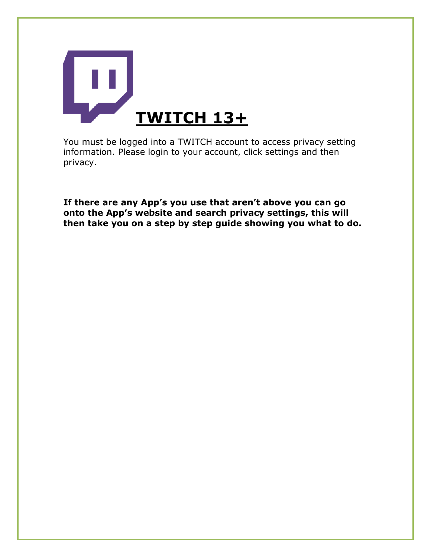

You must be logged into a TWITCH account to access privacy setting information. Please login to your account, click settings and then privacy.

**If there are any App's you use that aren't above you can go onto the App's website and search privacy settings, this will then take you on a step by step guide showing you what to do.**